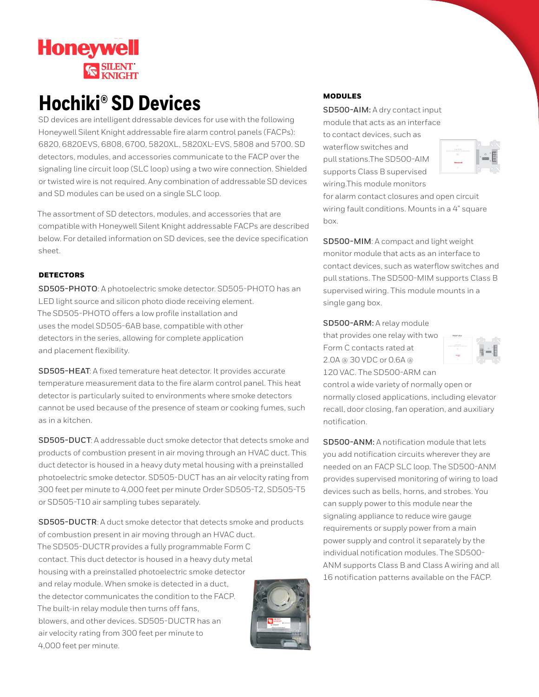

# **Hochiki® SD Devices**

SD devices are intelligent ddressable devices for use with the following Honeywell Silent Knight addressable fire alarm control panels (FACPs): 6820, 6820EVS, 6808, 6700, 5820XL, 5820XL-EVS, 5808 and 5700. SD detectors, modules, and accessories communicate to the FACP over the signaling line circuit loop (SLC loop) using a two wire connection. Shielded or twisted wire is not required. Any combination of addressable SD devices and SD modules can be used on a single SLC loop.

The assortment of SD detectors, modules, and accessories that are compatible with Honeywell Silent Knight addressable FACPs are described below. For detailed information on SD devices, see the device specification sheet.

### **DETECTORS**

**SD505-PHOTO**: A photoelectric smoke detector. SD505-PHOTO has an LED light source and silicon photo diode receiving element. The SD505-PHOTO offers a low profile installation and uses the model SD505-6AB base, compatible with other detectors in the series, allowing for complete application and placement flexibility.

**SD505-HEAT**: A fixed temerature heat detector. It provides accurate temperature measurement data to the fire alarm control panel. This heat detector is particularly suited to environments where smoke detectors cannot be used because of the presence of steam or cooking fumes, such as in a kitchen.

**SD505-DUCT**: A addressable duct smoke detector that detects smoke and products of combustion present in air moving through an HVAC duct. This duct detector is housed in a heavy duty metal housing with a preinstalled photoelectric smoke detector. SD505-DUCT has an air velocity rating from 300 feet per minute to 4,000 feet per minute Order SD505-T2, SD505-T5 or SD505-T10 air sampling tubes separately.

**SD505-DUCTR**: A duct smoke detector that detects smoke and products of combustion present in air moving through an HVAC duct. The SD505-DUCTR provides a fully programmable Form C contact. This duct detector is housed in a heavy duty metal housing with a preinstalled photoelectric smoke detector and relay module. When smoke is detected in a duct, the detector communicates the condition to the FACP. The built-in relay module then turns off fans, blowers, and other devices. SD505-DUCTR has an air velocity rating from 300 feet per minute to 4,000 feet per minute.

#### MODULES

**SD500-AIM:** A dry contact input module that acts as an interface to contact devices, such as waterflow switches and pull stations.The SD500-AIM supports Class B supervised wiring.This module monitors



for alarm contact closures and open circuit wiring fault conditions. Mounts in a 4" square box.

**SD500-MIM**: A compact and light weight monitor module that acts as an interface to contact devices, such as waterflow switches and pull stations. The SD500-MIM supports Class B supervised wiring. This module mounts in a single gang box.

**SD500-ARM:** A relay module that provides one relay with two Form C contacts rated at 2.0A @ 30 VDC or 0.6A @ 120 VAC. The SD500-ARM can



control a wide variety of normally open or normally closed applications, including elevator recall, door closing, fan operation, and auxiliary notification.

**SD500-ANM:** A notification module that lets you add notification circuits wherever they are needed on an FACP SLC loop. The SD500-ANM provides supervised monitoring of wiring to load devices such as bells, horns, and strobes. You can supply power to this module near the signaling appliance to reduce wire gauge requirements or supply power from a main power supply and control it separately by the individual notification modules. The SD500- ANM supports Class B and Class A wiring and all 16 notification patterns available on the FACP.